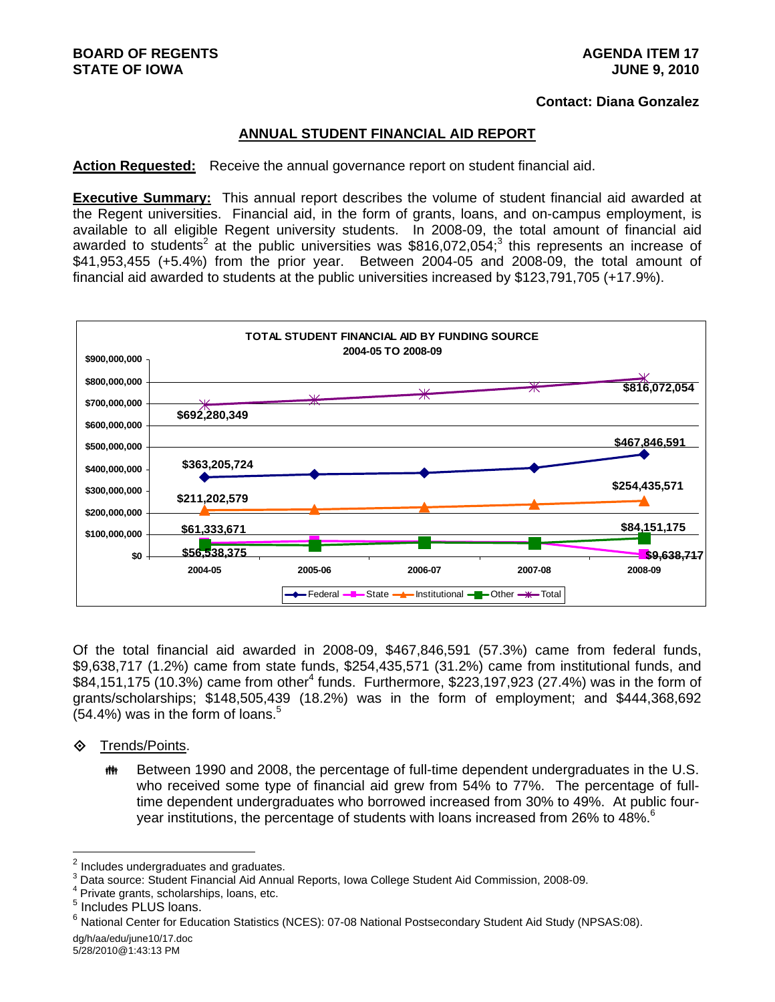# **Contact: Diana Gonzalez**

#### **ANNUAL STUDENT FINANCIAL AID REPORT**

**Action Requested:** Receive the annual governance report on student financial aid.

**Executive Summary:** This annual report describes the volume of student financial aid awarded at the Regent universities. Financial aid, in the form of grants, loans, and on-campus employment, is available to all eligible Regent university students. In 2008-09, the total amount of financial aid awarded to students<sup>2</sup> at the public universities was \$816,072,054;<sup>3</sup> this represents an increase of \$41,953,455 (+5.4%) from the prior year. Between 2004-05 and 2008-09, the total amount of financial aid awarded to students at the public universities increased by \$123,791,705 (+17.9%).



Of the total financial aid awarded in 2008-09, \$467,846,591 (57.3%) came from federal funds, \$9,638,717 (1.2%) came from state funds, \$254,435,571 (31.2%) came from institutional funds, and \$84,151,175 (10.3%) came from other<sup>4</sup> funds. Furthermore, \$223,197,923 (27.4%) was in the form of grants/scholarships; \$148,505,439 (18.2%) was in the form of employment; and \$444,368,692  $(54.4\%)$  was in the form of loans.<sup>5</sup>

- **♦ Trends/Points.** 
	- **##** Between 1990 and 2008, the percentage of full-time dependent undergraduates in the U.S. who received some type of financial aid grew from 54% to 77%. The percentage of fulltime dependent undergraduates who borrowed increased from 30% to 49%. At public fouryear institutions, the percentage of students with loans increased from 26% to 48%.<sup>6</sup>

 $\overline{2}$ <sup>2</sup> Includes undergraduates and graduates.<br><sup>3</sup> Deta source: Student Eineneigl Aid Annus

 $\frac{3}{2}$  Data source: Student Financial Aid Annual Reports, Iowa College Student Aid Commission, 2008-09.<br>4 Drivete arente, esbelerabina, Isana, eta.

 $4$  Private grants, scholarships, loans, etc.

<sup>&</sup>lt;sup>5</sup> Includes PLUS loans.

<sup>6</sup> National Center for Education Statistics (NCES): 07-08 National Postsecondary Student Aid Study (NPSAS:08).

dg/h/aa/edu/june10/17.doc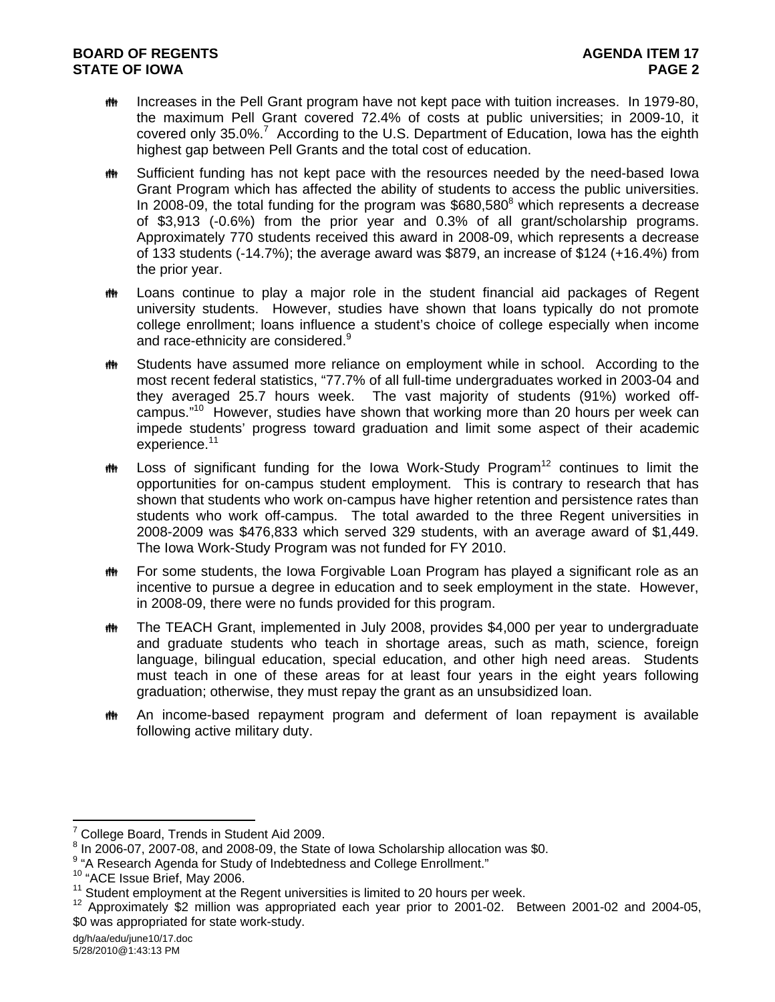- **ING EXECT And The Pell Grant program have not kept pace with tuition increases. In 1979-80,** the maximum Pell Grant covered 72.4% of costs at public universities; in 2009-10, it covered only 35.0%.<sup>7</sup> According to the U.S. Department of Education, Iowa has the eighth highest gap between Pell Grants and the total cost of education.
- **##** Sufficient funding has not kept pace with the resources needed by the need-based lowa Grant Program which has affected the ability of students to access the public universities. In 2008-09, the total funding for the program was  $$680,580^8$  which represents a decrease of \$3,913 (-0.6%) from the prior year and 0.3% of all grant/scholarship programs. Approximately 770 students received this award in 2008-09, which represents a decrease of 133 students (-14.7%); the average award was \$879, an increase of \$124 (+16.4%) from the prior year.
- **##** Loans continue to play a major role in the student financial aid packages of Regent university students. However, studies have shown that loans typically do not promote college enrollment; loans influence a student's choice of college especially when income and race-ethnicity are considered.<sup>9</sup>
- **##** Students have assumed more reliance on employment while in school. According to the most recent federal statistics, "77.7% of all full-time undergraduates worked in 2003-04 and they averaged 25.7 hours week. The vast majority of students (91%) worked offcampus."10 However, studies have shown that working more than 20 hours per week can impede students' progress toward graduation and limit some aspect of their academic experience.<sup>11</sup>
- $\ddot{m}$  Loss of significant funding for the Iowa Work-Study Program<sup>12</sup> continues to limit the opportunities for on-campus student employment. This is contrary to research that has shown that students who work on-campus have higher retention and persistence rates than students who work off-campus. The total awarded to the three Regent universities in 2008-2009 was \$476,833 which served 329 students, with an average award of \$1,449. The Iowa Work-Study Program was not funded for FY 2010.
- $\ddot{\mathbf{f}}$  For some students, the Iowa Forgivable Loan Program has played a significant role as an incentive to pursue a degree in education and to seek employment in the state. However, in 2008-09, there were no funds provided for this program.
- The TEACH Grant, implemented in July 2008, provides \$4,000 per year to undergraduate and graduate students who teach in shortage areas, such as math, science, foreign language, bilingual education, special education, and other high need areas. Students must teach in one of these areas for at least four years in the eight years following graduation; otherwise, they must repay the grant as an unsubsidized loan.
- An income-based repayment program and deferment of loan repayment is available following active military duty.

 $7$  College Board, Trends in Student Aid 2009.

 $^8$  In 2006-07, 2007-08, and 2008-09, the State of Iowa Scholarship allocation was \$0.

<sup>&</sup>lt;sup>9</sup> "A Research Agenda for Study of Indebtedness and College Enrollment."

<sup>&</sup>lt;sup>10</sup> "ACE Issue Brief, May 2006.<br><sup>11</sup> Student employment at the Regent universities is limited to 20 hours per week.<br><sup>12</sup> Approximately \$2 million was appropriated each year prior to 2001-02. Between 2001-02 and 2004-05, \$0 was appropriated for state work-study.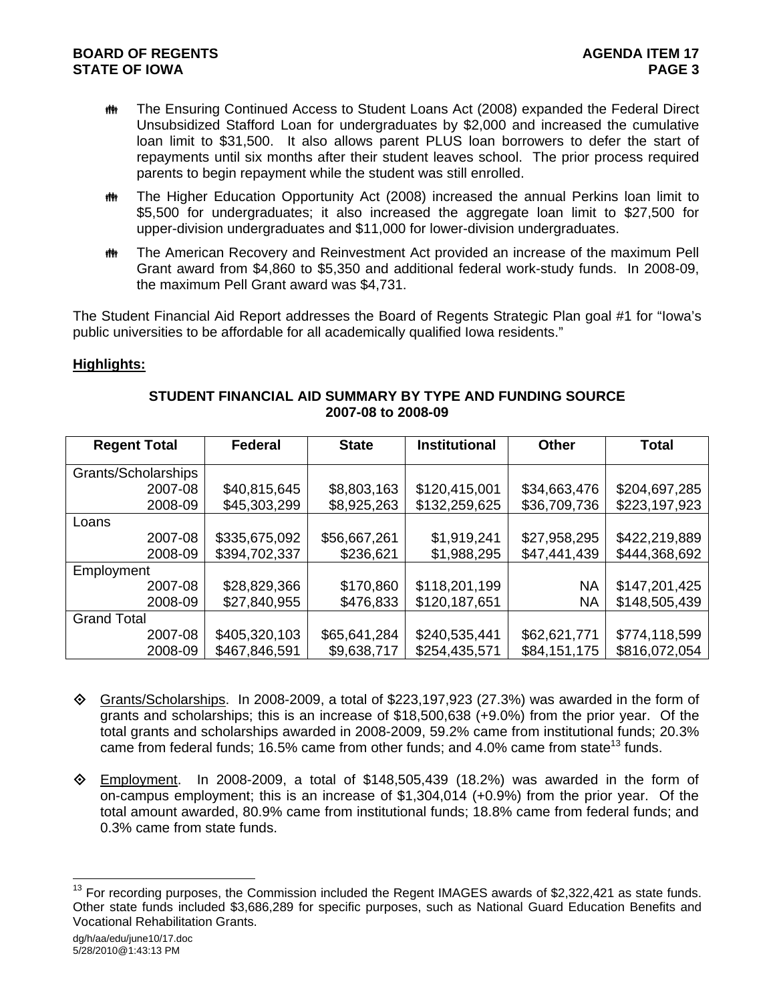- **##** The Ensuring Continued Access to Student Loans Act (2008) expanded the Federal Direct Unsubsidized Stafford Loan for undergraduates by \$2,000 and increased the cumulative loan limit to \$31,500. It also allows parent PLUS loan borrowers to defer the start of repayments until six months after their student leaves school. The prior process required parents to begin repayment while the student was still enrolled.
- The Higher Education Opportunity Act (2008) increased the annual Perkins loan limit to \$5,500 for undergraduates; it also increased the aggregate loan limit to \$27,500 for upper-division undergraduates and \$11,000 for lower-division undergraduates.
- The American Recovery and Reinvestment Act provided an increase of the maximum Pell Grant award from \$4,860 to \$5,350 and additional federal work-study funds. In 2008-09, the maximum Pell Grant award was \$4,731.

The Student Financial Aid Report addresses the Board of Regents Strategic Plan goal #1 for "Iowa's public universities to be affordable for all academically qualified Iowa residents."

# **Highlights:**

| <b>Regent Total</b> | <b>Federal</b> | <b>State</b> | <b>Institutional</b> | <b>Other</b> | <b>Total</b>  |
|---------------------|----------------|--------------|----------------------|--------------|---------------|
| Grants/Scholarships |                |              |                      |              |               |
| 2007-08             | \$40,815,645   | \$8,803,163  | \$120,415,001        | \$34,663,476 | \$204,697,285 |
| 2008-09             | \$45,303,299   | \$8,925,263  | \$132,259,625        | \$36,709,736 | \$223,197,923 |
| Loans               |                |              |                      |              |               |
| 2007-08             | \$335,675,092  | \$56,667,261 | \$1,919,241          | \$27,958,295 | \$422,219,889 |
| 2008-09             | \$394,702,337  | \$236,621    | \$1,988,295          | \$47,441,439 | \$444,368,692 |
| Employment          |                |              |                      |              |               |
| 2007-08             | \$28,829,366   | \$170,860    | \$118,201,199        | NA           | \$147,201,425 |
| 2008-09             | \$27,840,955   | \$476,833    | \$120,187,651        | NA           | \$148,505,439 |
| <b>Grand Total</b>  |                |              |                      |              |               |
| 2007-08             | \$405,320,103  | \$65,641,284 | \$240,535,441        | \$62,621,771 | \$774,118,599 |
| 2008-09             | \$467,846,591  | \$9,638,717  | \$254,435,571        | \$84,151,175 | \$816,072,054 |

# **STUDENT FINANCIAL AID SUMMARY BY TYPE AND FUNDING SOURCE 2007-08 to 2008-09**

- $\diamond$  Grants/Scholarships. In 2008-2009, a total of \$223,197,923 (27.3%) was awarded in the form of grants and scholarships; this is an increase of \$18,500,638 (+9.0%) from the prior year. Of the total grants and scholarships awarded in 2008-2009, 59.2% came from institutional funds; 20.3% came from federal funds; 16.5% came from other funds; and 4.0% came from state<sup>13</sup> funds.
- $\diamond$  Employment. In 2008-2009, a total of \$148,505,439 (18.2%) was awarded in the form of on-campus employment; this is an increase of \$1,304,014 (+0.9%) from the prior year. Of the total amount awarded, 80.9% came from institutional funds; 18.8% came from federal funds; and 0.3% came from state funds.

 $13$  For recording purposes, the Commission included the Regent IMAGES awards of \$2,322,421 as state funds. Other state funds included \$3,686,289 for specific purposes, such as National Guard Education Benefits and Vocational Rehabilitation Grants.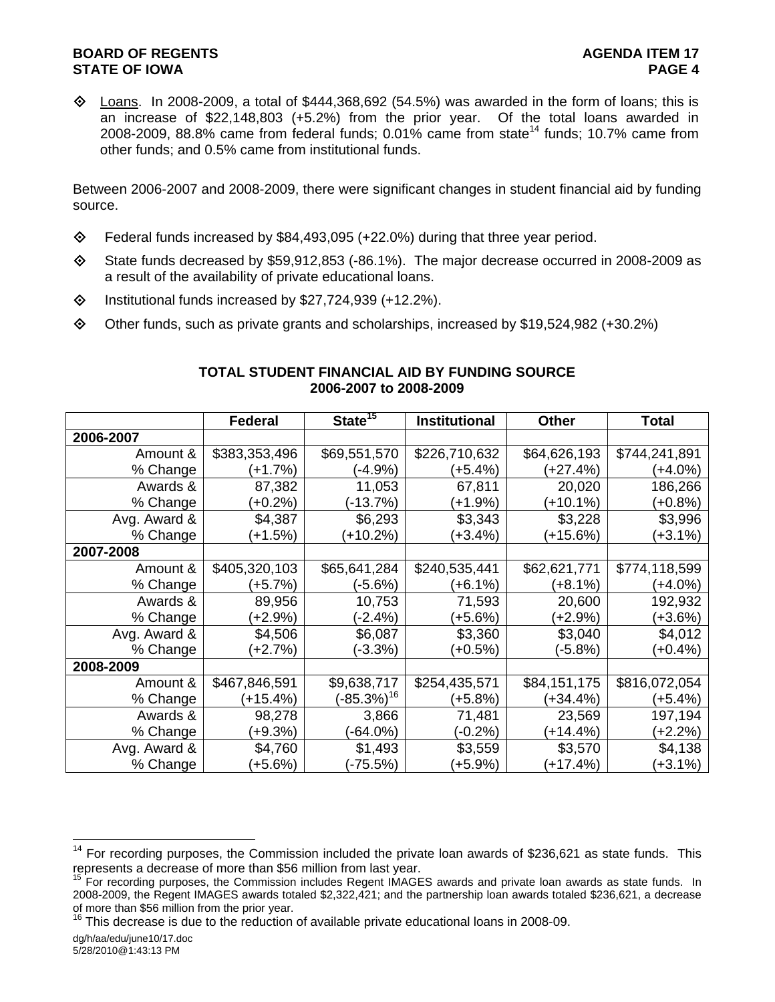$\Diamond$  Loans. In 2008-2009, a total of \$444,368,692 (54.5%) was awarded in the form of loans; this is an increase of \$22,148,803 (+5.2%) from the prior year. Of the total loans awarded in 2008-2009, 88.8% came from federal funds; 0.01% came from state<sup>14</sup> funds; 10.7% came from other funds; and 0.5% came from institutional funds.

Between 2006-2007 and 2008-2009, there were significant changes in student financial aid by funding source.

- Federal funds increased by \$84,493,095 (+22.0%) during that three year period.
- State funds decreased by \$59,912,853 (-86.1%). The major decrease occurred in 2008-2009 as a result of the availability of private educational loans.
- $\diamond$  Institutional funds increased by \$27,724,939 (+12.2%).
- $\diamond$  Other funds, such as private grants and scholarships, increased by \$19,524,982 (+30.2%)

|              | <b>Federal</b> | State $15$       | <b>Institutional</b> | <b>Other</b> | <b>Total</b>  |
|--------------|----------------|------------------|----------------------|--------------|---------------|
| 2006-2007    |                |                  |                      |              |               |
| Amount &     | \$383,353,496  | \$69,551,570     | \$226,710,632        | \$64,626,193 | \$744,241,891 |
| % Change     | (+1.7%)        | (-4.9%)          | (+5.4%)              | $(+27.4%)$   | (+4.0%)       |
| Awards &     | 87,382         | 11,053           | 67,811               | 20,020       | 186,266       |
| % Change     | $(+0.2%)$      | $-13.7%$         | $(+1.9%)$            | (+10.1%)     | $(+0.8%)$     |
| Avg. Award & | \$4,387        | \$6,293          | \$3,343              | \$3,228      | \$3,996       |
| % Change     | $(+1.5%)$      | (+10.2%)         | (+3.4%)              | $(+15.6%)$   | $(+3.1\%)$    |
| 2007-2008    |                |                  |                      |              |               |
| Amount &     | \$405,320,103  | \$65,641,284     | \$240,535,441        | \$62,621,771 | \$774,118,599 |
| % Change     | (+5.7%)        | (-5.6%)          | (+6.1%)              | (+8.1%)      | (+4.0%)       |
| Awards &     | 89,956         | 10,753           | 71,593               | 20,600       | 192,932       |
| % Change     | $(+2.9\%)$     | (-2.4%)          | $(+5.6%)$            | (+2.9%)      | (+3.6%)       |
| Avg. Award & | \$4,506        | \$6,087          | \$3,360              | \$3,040      | \$4,012       |
| % Change     | $(+2.7%)$      | (-3.3%)          | $(+0.5%)$            | (-5.8%)      | $(+0.4\%)$    |
| 2008-2009    |                |                  |                      |              |               |
| Amount &     | \$467,846,591  | \$9,638,717      | \$254,435,571        | \$84,151,175 | \$816,072,054 |
| % Change     | $(+15.4%)$     | $(-85.3\%)^{16}$ | $(+5.8%)$            | (+34.4%)     | (+5.4%)       |
| Awards &     | 98,278         | 3,866            | 71,481               | 23,569       | 197,194       |
| % Change     | $(+9.3%)$      | (-64.0%)         | (-0.2%)              | $(+14.4\%)$  | (+2.2%)       |
| Avg. Award & | \$4,760        | \$1,493          | \$3,559              | \$3,570      | \$4,138       |
| % Change     | $+5.6%$        | $-75.5\%)$       | $(+5.9\%)$           | (+17.4%)     | $(+3.1\%)$    |

# **TOTAL STUDENT FINANCIAL AID BY FUNDING SOURCE 2006-2007 to 2008-2009**

 $14$  For recording purposes, the Commission included the private loan awards of \$236,621 as state funds. This represents a decrease of more than \$56 million from last year.

<sup>&</sup>lt;sup>15</sup> For recording purposes, the Commission includes Regent IMAGES awards and private loan awards as state funds. In 2008-2009, the Regent IMAGES awards totaled \$2,322,421; and the partnership loan awards totaled \$236,621, a decrease of more than \$56 million from the prior year.

 $16$  This decrease is due to the reduction of available private educational loans in 2008-09.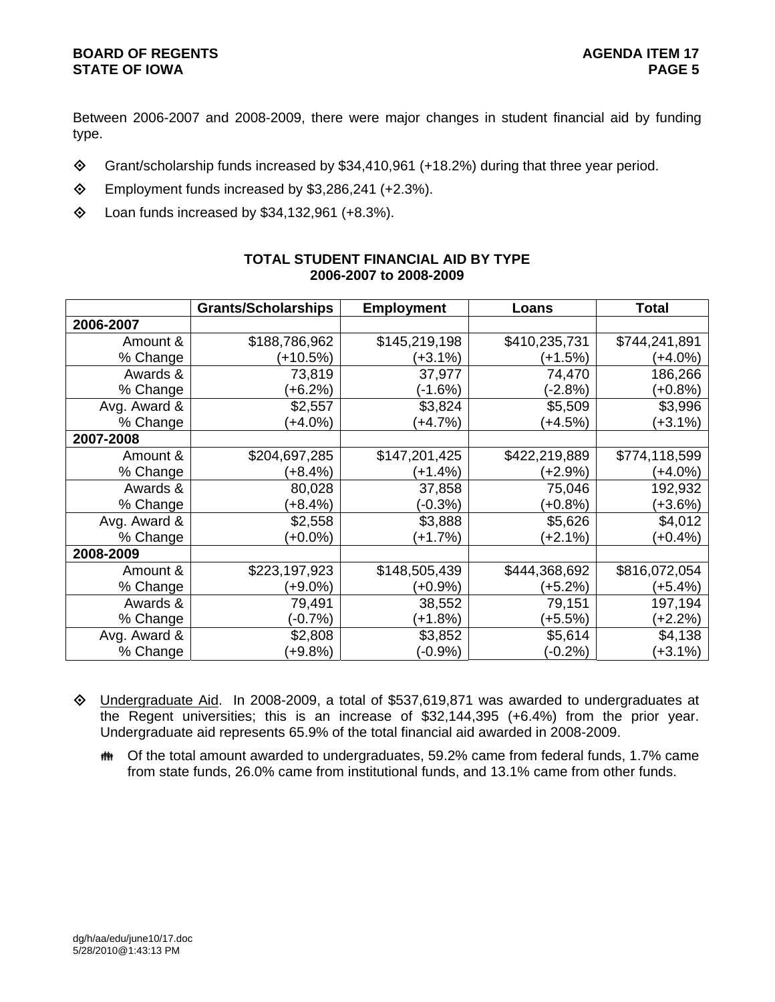Between 2006-2007 and 2008-2009, there were major changes in student financial aid by funding type.

- Grant/scholarship funds increased by \$34,410,961 (+18.2%) during that three year period.
- Employment funds increased by \$3,286,241 (+2.3%).
- $\textcircled{4}$  Loan funds increased by \$34,132,961 (+8.3%).

|              | <b>Grants/Scholarships</b> | <b>Employment</b> | Loans         | <b>Total</b>  |
|--------------|----------------------------|-------------------|---------------|---------------|
| 2006-2007    |                            |                   |               |               |
| Amount &     | \$188,786,962              | \$145,219,198     | \$410,235,731 | \$744,241,891 |
| % Change     | (+10.5%)                   | $(+3.1%)$         | (+1.5%)       | (+4.0%)       |
| Awards &     | 73,819                     | 37,977            | 74,470        | 186,266       |
| % Change     | $(+6.2%)$                  | $(-1.6%)$         | $(-2.8%)$     | $(+0.8%)$     |
| Avg. Award & | \$2,557                    | \$3,824           | \$5,509       | \$3,996       |
| % Change     | (+4.0%)                    | $(+4.7%)$         | $(+4.5%)$     | (+3.1%)       |
| 2007-2008    |                            |                   |               |               |
| Amount &     | \$204,697,285              | \$147,201,425     | \$422,219,889 | \$774,118,599 |
| % Change     | $(+8.4%)$                  | $(+1.4%)$         | (+2.9%)       | $(+4.0\%)$    |
| Awards &     | 80,028                     | 37,858            | 75,046        | 192,932       |
| % Change     | $(+8.4%)$                  | (-0.3%)           | $(+0.8%)$     | $(+3.6%)$     |
| Avg. Award & | \$2,558                    | \$3,888           | \$5,626       | \$4,012       |
| % Change     | $(+0.0\%)$                 | $(+1.7%)$         | (+2.1%)       | $(+0.4%)$     |
| 2008-2009    |                            |                   |               |               |
| Amount &     | \$223,197,923              | \$148,505,439     | \$444,368,692 | \$816,072,054 |
| % Change     | (+9.0%)                    | $(+0.9\%)$        | (+5.2%)       | $(+5.4%)$     |
| Awards &     | 79,491                     | 38,552            | 79,151        | 197,194       |
| % Change     | $(-0.7%)$                  | $(+1.8%)$         | (+5.5%)       | (+2.2%)       |
| Avg. Award & | \$2,808                    | \$3,852           | \$5,614       | \$4,138       |
| % Change     | $(+9.8%)$                  | $(-0.9\%)$        | $(-0.2\%)$    | $(+3.1\%)$    |

## **TOTAL STUDENT FINANCIAL AID BY TYPE 2006-2007 to 2008-2009**

- Undergraduate Aid. In 2008-2009, a total of \$537,619,871 was awarded to undergraduates at the Regent universities; this is an increase of \$32,144,395 (+6.4%) from the prior year. Undergraduate aid represents 65.9% of the total financial aid awarded in 2008-2009.
	- **##** Of the total amount awarded to undergraduates, 59.2% came from federal funds, 1.7% came from state funds, 26.0% came from institutional funds, and 13.1% came from other funds.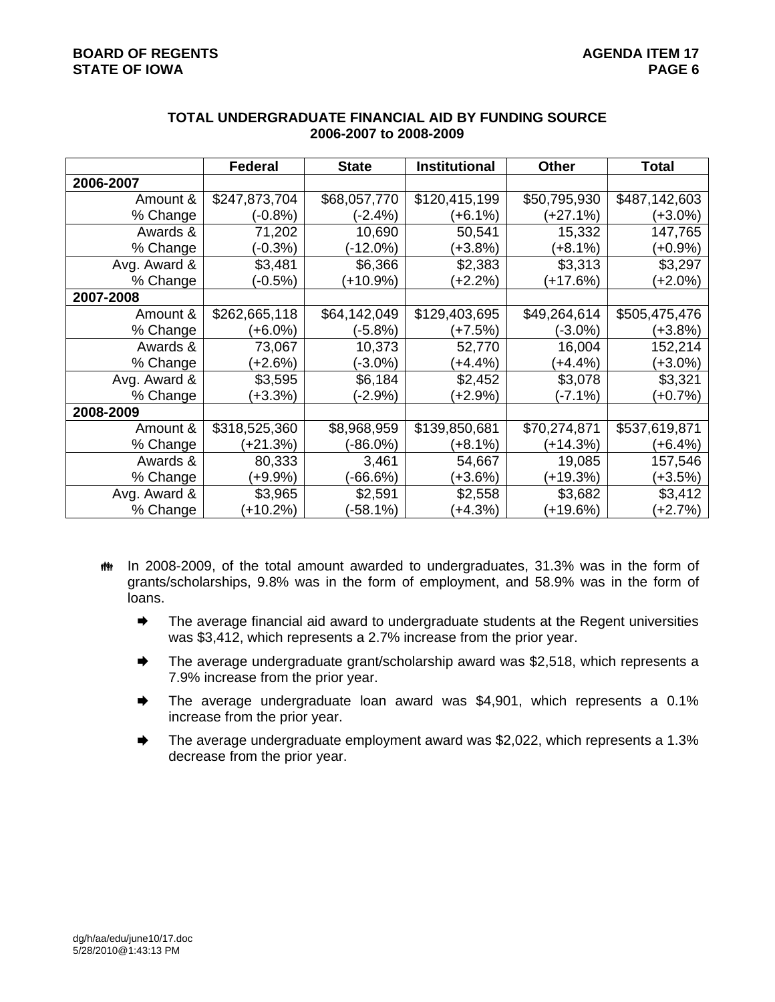|              | <b>Federal</b> | <b>State</b> | <b>Institutional</b> | <b>Other</b> | <b>Total</b>  |
|--------------|----------------|--------------|----------------------|--------------|---------------|
| 2006-2007    |                |              |                      |              |               |
| Amount &     | \$247,873,704  | \$68,057,770 | \$120,415,199        | \$50,795,930 | \$487,142,603 |
| % Change     | (-0.8%)        | (-2.4%)      | $(+6.1\%)$           | (+27.1%)     | (+3.0%)       |
| Awards &     | 71,202         | 10,690       | 50,541               | 15,332       | 147,765       |
| % Change     | $(-0.3%)$      | $-12.0%$     | $(+3.8%)$            | (+8.1%)      | $(+0.9\%)$    |
| Avg. Award & | \$3,481        | \$6,366      | \$2,383              | \$3,313      | \$3,297       |
| % Change     | (-0.5%)        | (+10.9%)     | $(+2.2%)$            | (+17.6%)     | $(+2.0\%)$    |
| 2007-2008    |                |              |                      |              |               |
| Amount &     | \$262,665,118  | \$64,142,049 | \$129,403,695        | \$49,264,614 | \$505,475,476 |
| % Change     | $(+6.0\%)$     | (-5.8%)      | $(+7.5%)$            | (-3.0%)      | (+3.8%)       |
| Awards &     | 73,067         | 10,373       | 52,770               | 16,004       | 152,214       |
| % Change     | $(+2.6%)$      | $(-3.0\%)$   | $(+4.4%)$            | (+4.4%)      | $(+3.0\%)$    |
| Avg. Award & | \$3,595        | \$6,184      | \$2,452              | \$3,078      | \$3,321       |
| % Change     | $(+3.3%)$      | $(-2.9\%)$   | $+2.9%$              | (-7.1%)      | $(+0.7%)$     |
| 2008-2009    |                |              |                      |              |               |
| Amount &     | \$318,525,360  | \$8,968,959  | \$139,850,681        | \$70,274,871 | \$537,619,871 |
| % Change     | (+21.3%)       | $(-86.0\%)$  | $(+8.1\%)$           | (+14.3%)     | $(+6.4%)$     |
| Awards &     | 80,333         | 3,461        | 54,667               | 19,085       | 157,546       |
| % Change     | $(+9.9\%)$     | $-66.6%$     | $(+3.6%)$            | $(+19.3%)$   | (+3.5%)       |
| Avg. Award & | \$3,965        | \$2,591      | \$2,558              | \$3,682      | \$3,412       |
| % Change     | $(+10.2%)$     | $-58.1%$     | $(+4.3%)$            | (+19.6%)     | $(+2.7%)$     |

#### **TOTAL UNDERGRADUATE FINANCIAL AID BY FUNDING SOURCE 2006-2007 to 2008-2009**

- the In 2008-2009, of the total amount awarded to undergraduates, 31.3% was in the form of grants/scholarships, 9.8% was in the form of employment, and 58.9% was in the form of loans.
	- **■** The average financial aid award to undergraduate students at the Regent universities was \$3,412, which represents a 2.7% increase from the prior year.
	- **■** The average undergraduate grant/scholarship award was \$2,518, which represents a 7.9% increase from the prior year.
	- **■** The average undergraduate loan award was \$4,901, which represents a 0.1% increase from the prior year.
	- **■** The average undergraduate employment award was \$2,022, which represents a 1.3% decrease from the prior year.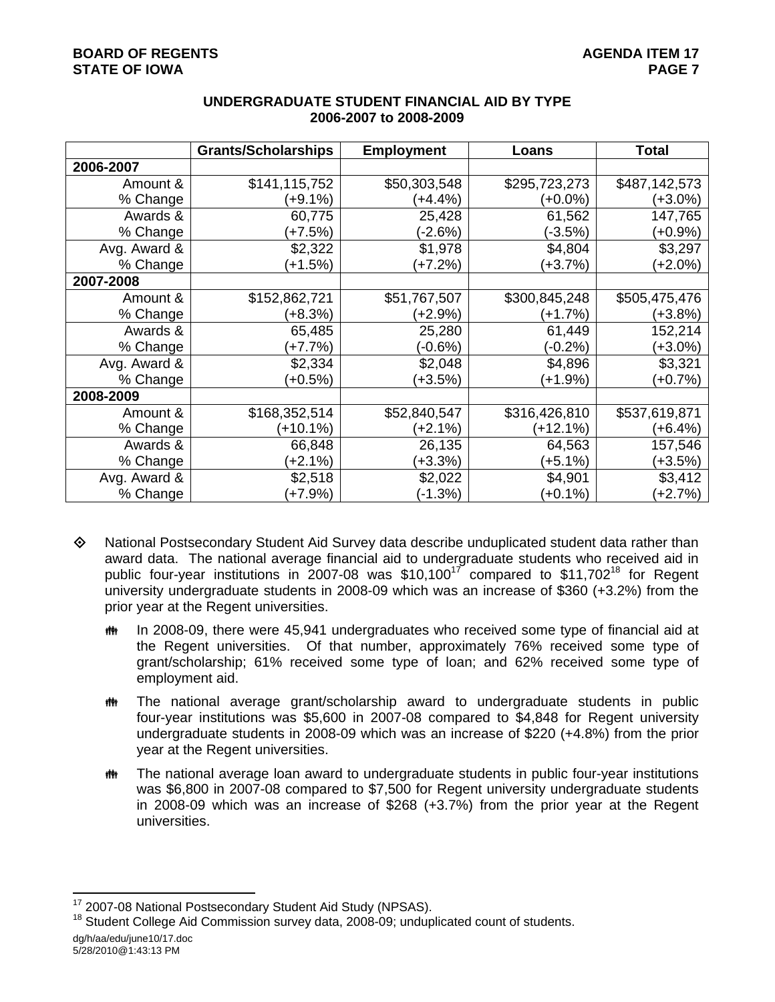|              | <b>Grants/Scholarships</b> | <b>Employment</b> | Loans         | <b>Total</b>  |
|--------------|----------------------------|-------------------|---------------|---------------|
| 2006-2007    |                            |                   |               |               |
| Amount &     | \$141,115,752              | \$50,303,548      | \$295,723,273 | \$487,142,573 |
| % Change     | (+9.1%)                    | (+4.4%)           | $(+0.0\%)$    | $(+3.0\%)$    |
| Awards &     | 60,775                     | 25,428            | 61,562        | 147,765       |
| % Change     | (+7.5%)                    | (-2.6%)           | (-3.5%)       | (+0.9%)       |
| Avg. Award & | \$2,322                    | \$1,978           | \$4,804       | \$3,297       |
| % Change     | (+1.5%)                    | (+7.2%)           | $(+3.7%)$     | $(+2.0\%)$    |
| 2007-2008    |                            |                   |               |               |
| Amount &     | \$152,862,721              | \$51,767,507      | \$300,845,248 | \$505,475,476 |
| % Change     | $(+8.3%)$                  | (+2.9%)           | $(+1.7%)$     | (+3.8%)       |
| Awards &     | 65,485                     | 25,280            | 61,449        | 152,214       |
| % Change     | (+7.7%)                    | (-0.6%)           | (-0.2%)       | $(+3.0\%)$    |
| Avg. Award & | \$2,334                    | \$2,048           | \$4,896       | \$3,321       |
| % Change     | (+0.5%)                    | (+3.5%)           | $(+1.9\%)$    | $(+0.7%)$     |
| 2008-2009    |                            |                   |               |               |
| Amount &     | \$168,352,514              | \$52,840,547      | \$316,426,810 | \$537,619,871 |
| % Change     | $(+10.1%)$                 | (+2.1%)           | $(+12.1%)$    | $(+6.4%)$     |
| Awards &     | 66,848                     | 26,135            | 64,563        | 157,546       |
| % Change     | $(+2.1%)$                  | (+3.3%)           | (+5.1%)       | (+3.5%)       |
| Avg. Award & | \$2,518                    | \$2,022           | \$4,901       | \$3,412       |
| % Change     | $(+7.9%)$                  | $(-1.3%)$         | $(+0.1\%)$    | $(+2.7%)$     |

# **UNDERGRADUATE STUDENT FINANCIAL AID BY TYPE 2006-2007 to 2008-2009**

- National Postsecondary Student Aid Survey data describe unduplicated student data rather than award data. The national average financial aid to undergraduate students who received aid in public four-year institutions in 2007-08 was  $$10,100^{17}$  compared to  $$11,702^{18}$  for Regent university undergraduate students in 2008-09 which was an increase of \$360 (+3.2%) from the prior year at the Regent universities.
	- In 2008-09, there were 45,941 undergraduates who received some type of financial aid at the Regent universities. Of that number, approximately 76% received some type of grant/scholarship; 61% received some type of loan; and 62% received some type of employment aid.
	- The national average grant/scholarship award to undergraduate students in public four-year institutions was \$5,600 in 2007-08 compared to \$4,848 for Regent university undergraduate students in 2008-09 which was an increase of \$220 (+4.8%) from the prior year at the Regent universities.
	- **##** The national average loan award to undergraduate students in public four-year institutions was \$6,800 in 2007-08 compared to \$7,500 for Regent university undergraduate students in 2008-09 which was an increase of \$268 (+3.7%) from the prior year at the Regent universities.

dg/h/aa/edu/june10/17.doc 5/28/2010@1:43:13 PM

<sup>&</sup>lt;sup>17</sup> 2007-08 National Postsecondary Student Aid Study (NPSAS).

<sup>&</sup>lt;sup>18</sup> Student College Aid Commission survey data, 2008-09; unduplicated count of students.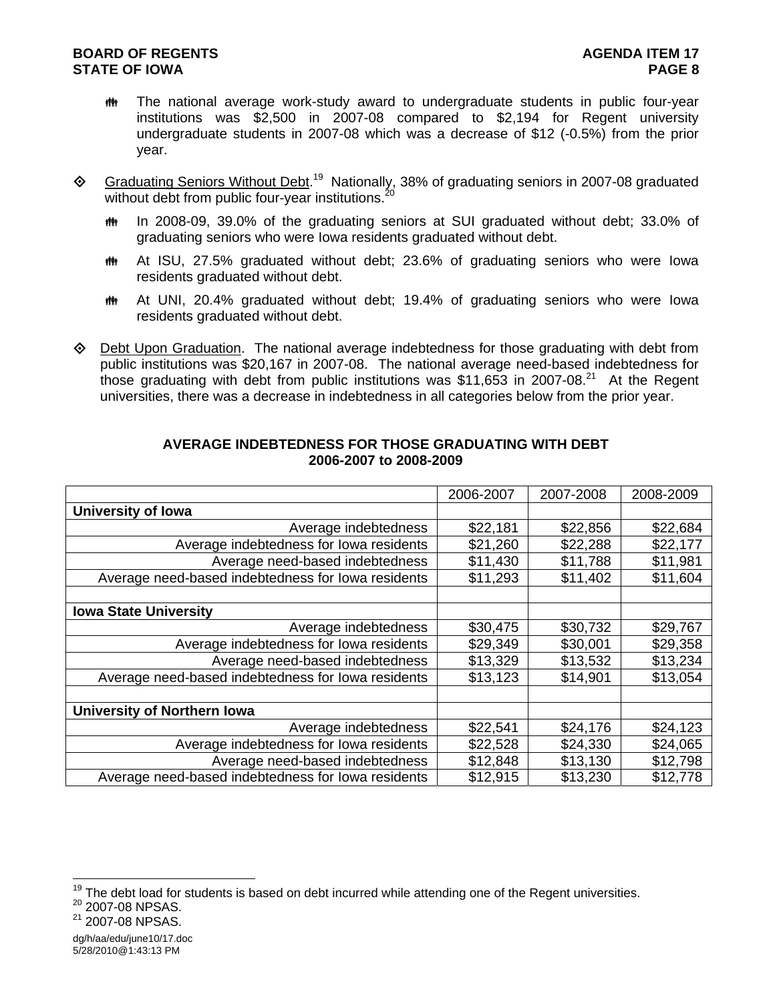- The national average work-study award to undergraduate students in public four-year institutions was \$2,500 in 2007-08 compared to \$2,194 for Regent university undergraduate students in 2007-08 which was a decrease of \$12 (-0.5%) from the prior year.
- ♦ Graduating Seniors Without Debt.<sup>19</sup> Nationally, 38% of graduating seniors in 2007-08 graduated without debt from public four-year institutions. $^{20}$ 
	- **##** In 2008-09, 39.0% of the graduating seniors at SUI graduated without debt; 33.0% of graduating seniors who were Iowa residents graduated without debt.
	- At ISU, 27.5% graduated without debt; 23.6% of graduating seniors who were Iowa residents graduated without debt.
	- At UNI, 20.4% graduated without debt; 19.4% of graduating seniors who were Iowa residents graduated without debt.
- Debt Upon Graduation. The national average indebtedness for those graduating with debt from public institutions was \$20,167 in 2007-08. The national average need-based indebtedness for those graduating with debt from public institutions was \$11,653 in 2007-08.<sup>21</sup> At the Regent universities, there was a decrease in indebtedness in all categories below from the prior year.

|                                                    | 2006-2007 | 2007-2008 | 2008-2009 |
|----------------------------------------------------|-----------|-----------|-----------|
| <b>University of Iowa</b>                          |           |           |           |
| Average indebtedness                               | \$22,181  | \$22,856  | \$22,684  |
| Average indebtedness for lowa residents            | \$21,260  | \$22,288  | \$22,177  |
| Average need-based indebtedness                    | \$11,430  | \$11,788  | \$11,981  |
| Average need-based indebtedness for lowa residents | \$11,293  | \$11,402  | \$11,604  |
|                                                    |           |           |           |
| <b>Iowa State University</b>                       |           |           |           |
| Average indebtedness                               | \$30,475  | \$30,732  | \$29,767  |
| Average indebtedness for lowa residents            | \$29,349  | \$30,001  | \$29,358  |
| Average need-based indebtedness                    | \$13,329  | \$13,532  | \$13,234  |
| Average need-based indebtedness for lowa residents | \$13,123  | \$14,901  | \$13,054  |
|                                                    |           |           |           |
| <b>University of Northern Iowa</b>                 |           |           |           |
| Average indebtedness                               | \$22,541  | \$24,176  | \$24,123  |
| Average indebtedness for lowa residents            | \$22,528  | \$24,330  | \$24,065  |
| Average need-based indebtedness                    | \$12,848  | \$13,130  | \$12,798  |
| Average need-based indebtedness for lowa residents | \$12,915  | \$13,230  | \$12,778  |

#### **AVERAGE INDEBTEDNESS FOR THOSE GRADUATING WITH DEBT 2006-2007 to 2008-2009**

 $^{19}$  The debt load for students is based on debt incurred while attending one of the Regent universities.<br><sup>20</sup> 2007-08 NPSAS.

 $^{20}$  2007-08 NPSAS.<br> $^{21}$  2007-08 NPSAS.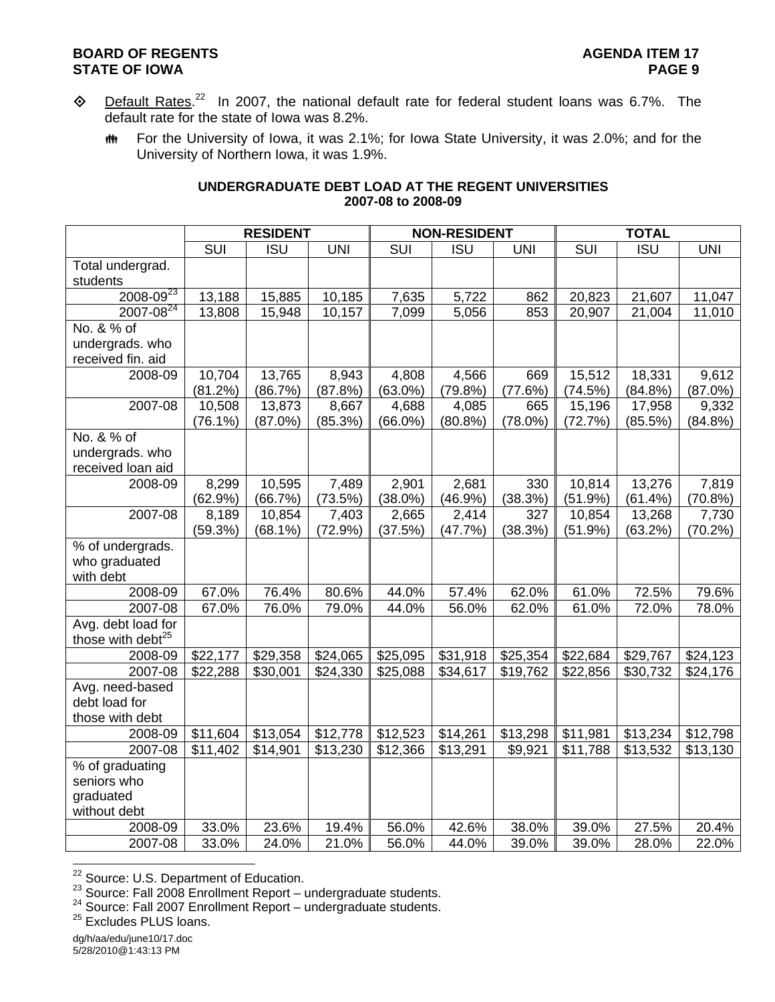- $\Diamond$  Default Rates.<sup>22</sup> In 2007, the national default rate for federal student loans was 6.7%. The default rate for the state of Iowa was 8.2%.
	- **##** For the University of Iowa, it was 2.1%; for Iowa State University, it was 2.0%; and for the University of Northern Iowa, it was 1.9%.

#### **UNDERGRADUATE DEBT LOAD AT THE REGENT UNIVERSITIES 2007-08 to 2008-09**

|                               |            | <b>RESIDENT</b>  |            | <b>NON-RESIDENT</b> |                    | <b>TOTAL</b> |            |            |            |
|-------------------------------|------------|------------------|------------|---------------------|--------------------|--------------|------------|------------|------------|
|                               | SUI        | $\overline{ISU}$ | <b>UNI</b> | <b>SUI</b>          | <b>ISU</b>         | <b>UNI</b>   | <b>SUI</b> | <b>ISU</b> | <b>UNI</b> |
| Total undergrad.              |            |                  |            |                     |                    |              |            |            |            |
| students                      |            |                  |            |                     |                    |              |            |            |            |
| $2008 - 09^{23}$              | 13,188     | 15,885           | 10,185     | 7,635               | $\overline{5,722}$ | 862          | 20,823     | 21,607     | 11,047     |
| $2007 - 08^{24}$              | 13,808     | 15,948           | 10,157     | 7,099               | 5,056              | 853          | 20,907     | 21,004     | 11,010     |
| No. & % of                    |            |                  |            |                     |                    |              |            |            |            |
| undergrads. who               |            |                  |            |                     |                    |              |            |            |            |
| received fin. aid             |            |                  |            |                     |                    |              |            |            |            |
| 2008-09                       | 10,704     | 13,765           | 8,943      | 4,808               | 4,566              | 669          | 15,512     | 18,331     | 9,612      |
|                               | (81.2%)    | (86.7%)          | (87.8%)    | $(63.0\%)$          | (79.8%)            | (77.6%)      | (74.5%)    | (84.8%)    | $(87.0\%)$ |
| 2007-08                       | 10,508     | 13,873           | 8,667      | 4,688               | 4,085              | 665          | 15,196     | 17,958     | 9,332      |
|                               | $(76.1\%)$ | $(87.0\%)$       | (85.3%)    | $(66.0\%)$          | $(80.8\%)$         | $(78.0\%)$   | (72.7%)    | (85.5%)    | (84.8%)    |
| No. & % of                    |            |                  |            |                     |                    |              |            |            |            |
| undergrads. who               |            |                  |            |                     |                    |              |            |            |            |
| received loan aid             |            |                  |            |                     |                    |              |            |            |            |
| 2008-09                       | 8,299      | 10,595           | 7,489      | 2,901               | 2,681              | 330          | 10,814     | 13,276     | 7,819      |
|                               | (62.9%)    | (66.7%)          | (73.5%)    | $(38.0\%)$          | (46.9%)            | (38.3%)      | (51.9%)    | (61.4%)    | $(70.8\%)$ |
| 2007-08                       | 8,189      | 10,854           | 7,403      | 2,665               | 2,414              | 327          | 10,854     | 13,268     | 7,730      |
|                               | (59.3%)    | $(68.1\%)$       | (72.9%)    | (37.5%)             | (47.7%)            | (38.3%)      | (51.9%)    | (63.2%)    | $(70.2\%)$ |
| % of undergrads.              |            |                  |            |                     |                    |              |            |            |            |
| who graduated                 |            |                  |            |                     |                    |              |            |            |            |
| with debt                     |            |                  |            |                     |                    |              |            |            |            |
| 2008-09                       | 67.0%      | 76.4%            | 80.6%      | 44.0%               | 57.4%              | 62.0%        | 61.0%      | 72.5%      | 79.6%      |
| 2007-08                       | 67.0%      | 76.0%            | 79.0%      | 44.0%               | 56.0%              | 62.0%        | 61.0%      | 72.0%      | 78.0%      |
| Avg. debt load for            |            |                  |            |                     |                    |              |            |            |            |
| those with debt <sup>25</sup> |            |                  |            |                     |                    |              |            |            |            |
| 2008-09                       | \$22,177   | \$29,358         | \$24,065   | \$25,095            | \$31,918           | \$25,354     | \$22,684   | \$29,767   | \$24,123   |
| 2007-08                       | \$22,288   | \$30,001         | \$24,330   | \$25,088            | \$34,617           | \$19,762     | \$22,856   | \$30,732   | \$24,176   |
| Avg. need-based               |            |                  |            |                     |                    |              |            |            |            |
| debt load for                 |            |                  |            |                     |                    |              |            |            |            |
| those with debt               |            |                  |            |                     |                    |              |            |            |            |
| 2008-09                       | \$11,604   | \$13,054         | \$12,778   | \$12,523            | \$14,261           | \$13,298     | \$11,981   | \$13,234   | \$12,798   |
| 2007-08                       | \$11,402   | \$14,901         | \$13,230   | \$12,366            | \$13,291           | \$9,921      | \$11,788   | \$13,532   | \$13,130   |
| % of graduating               |            |                  |            |                     |                    |              |            |            |            |
| seniors who                   |            |                  |            |                     |                    |              |            |            |            |
| graduated                     |            |                  |            |                     |                    |              |            |            |            |
| without debt                  |            |                  |            |                     |                    |              |            |            |            |
| 2008-09                       | 33.0%      | 23.6%            | 19.4%      | 56.0%               | 42.6%              | 38.0%        | 39.0%      | 27.5%      | 20.4%      |
| 2007-08                       | 33.0%      | 24.0%            | 21.0%      | 56.0%               | 44.0%              | 39.0%        | 39.0%      | 28.0%      | 22.0%      |

<sup>22</sup> Source: U.S. Department of Education.

<sup>23</sup> Source: Fall 2008 Enrollment Report – undergraduate students.<br>
<sup>24</sup> Source: Fall 2007 Enrollment Report – undergraduate students.<br>
<sup>25</sup> Excludes PLUS loans.

dg/h/aa/edu/june10/17.doc 5/28/2010@1:43:13 PM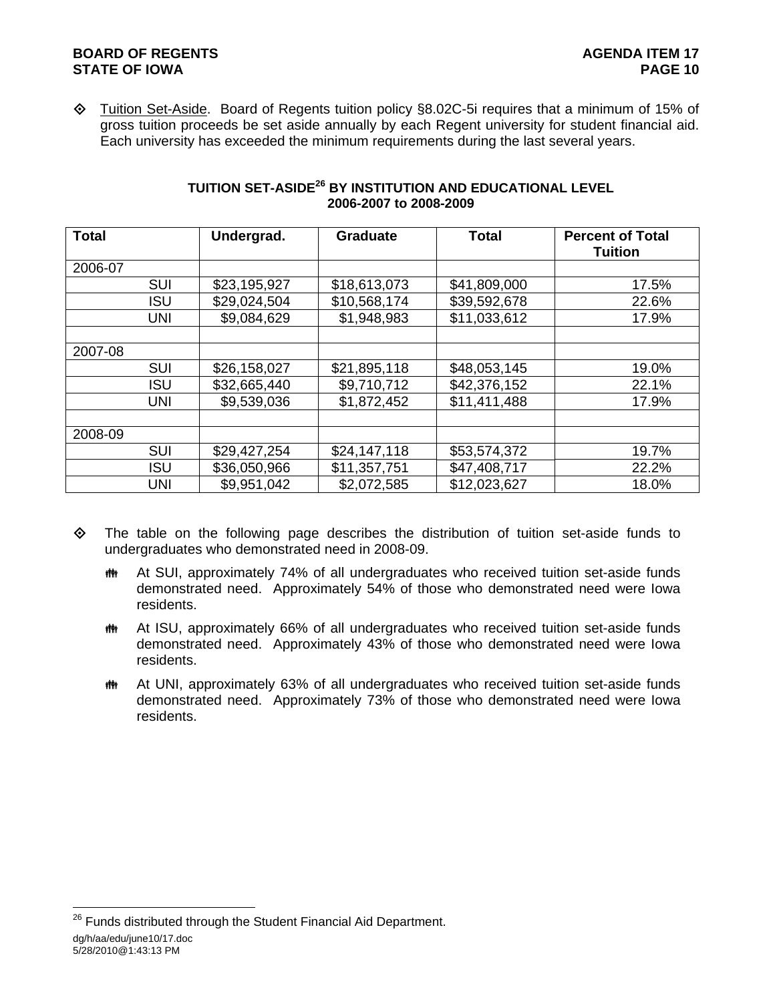Tuition Set-Aside. Board of Regents tuition policy §8.02C-5i requires that a minimum of 15% of gross tuition proceeds be set aside annually by each Regent university for student financial aid. Each university has exceeded the minimum requirements during the last several years.

| <b>Total</b> |            | Undergrad.   | <b>Graduate</b> | <b>Total</b> | <b>Percent of Total</b><br><b>Tuition</b> |
|--------------|------------|--------------|-----------------|--------------|-------------------------------------------|
| 2006-07      |            |              |                 |              |                                           |
|              | <b>SUI</b> | \$23,195,927 | \$18,613,073    | \$41,809,000 | 17.5%                                     |
|              | <b>ISU</b> | \$29,024,504 | \$10,568,174    | \$39,592,678 | 22.6%                                     |
|              | <b>UNI</b> | \$9,084,629  | \$1,948,983     | \$11,033,612 | 17.9%                                     |
|              |            |              |                 |              |                                           |
| 2007-08      |            |              |                 |              |                                           |
|              | <b>SUI</b> | \$26,158,027 | \$21,895,118    | \$48,053,145 | 19.0%                                     |
|              | <b>ISU</b> | \$32,665,440 | \$9,710,712     | \$42,376,152 | 22.1%                                     |
|              | <b>UNI</b> | \$9,539,036  | \$1,872,452     | \$11,411,488 | 17.9%                                     |
|              |            |              |                 |              |                                           |
| 2008-09      |            |              |                 |              |                                           |
|              | <b>SUI</b> | \$29,427,254 | \$24,147,118    | \$53,574,372 | 19.7%                                     |
|              | <b>ISU</b> | \$36,050,966 | \$11,357,751    | \$47,408,717 | 22.2%                                     |
|              | <b>UNI</b> | \$9,951,042  | \$2,072,585     | \$12,023,627 | 18.0%                                     |

## **TUITION SET-ASIDE26 BY INSTITUTION AND EDUCATIONAL LEVEL 2006-2007 to 2008-2009**

- $\Leftrightarrow$  The table on the following page describes the distribution of tuition set-aside funds to undergraduates who demonstrated need in 2008-09.
	- **##** At SUI, approximately 74% of all undergraduates who received tuition set-aside funds demonstrated need. Approximately 54% of those who demonstrated need were Iowa residents.
	- At ISU, approximately 66% of all undergraduates who received tuition set-aside funds demonstrated need. Approximately 43% of those who demonstrated need were Iowa residents.
	- **##** At UNI, approximately 63% of all undergraduates who received tuition set-aside funds demonstrated need. Approximately 73% of those who demonstrated need were Iowa residents.

dg/h/aa/edu/june10/17.doc 5/28/2010@1:43:13 PM l  $26$  Funds distributed through the Student Financial Aid Department.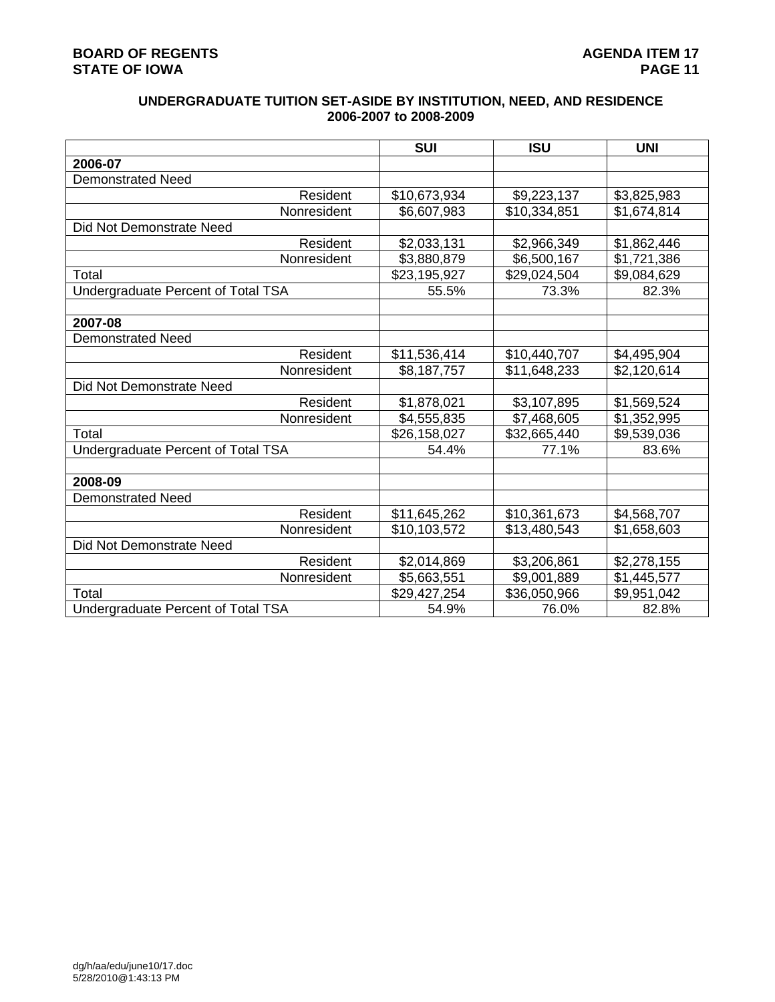# **BOARD OF REGENTS**<br> **BOARD OF REGENTS**<br> **BOARD OF IOWA**<br> **PAGE 11 STATE OF IOWA**

# **UNDERGRADUATE TUITION SET-ASIDE BY INSTITUTION, NEED, AND RESIDENCE 2006-2007 to 2008-2009**

|                                           | <b>SUI</b>   | <b>ISU</b>   | <b>UNI</b>  |
|-------------------------------------------|--------------|--------------|-------------|
| 2006-07                                   |              |              |             |
| <b>Demonstrated Need</b>                  |              |              |             |
| Resident                                  | \$10,673,934 | \$9,223,137  | \$3,825,983 |
| Nonresident                               | \$6,607,983  | \$10,334,851 | \$1,674,814 |
| Did Not Demonstrate Need                  |              |              |             |
| Resident                                  | \$2,033,131  | \$2,966,349  | \$1,862,446 |
| Nonresident                               | \$3,880,879  | \$6,500,167  | \$1,721,386 |
| Total                                     | \$23,195,927 | \$29,024,504 | \$9,084,629 |
| Undergraduate Percent of Total TSA        | 55.5%        | 73.3%        | 82.3%       |
|                                           |              |              |             |
| 2007-08                                   |              |              |             |
| <b>Demonstrated Need</b>                  |              |              |             |
| Resident                                  | \$11,536,414 | \$10,440,707 | \$4,495,904 |
| Nonresident                               | \$8,187,757  | \$11,648,233 | \$2,120,614 |
| Did Not Demonstrate Need                  |              |              |             |
| Resident                                  | \$1,878,021  | \$3,107,895  | \$1,569,524 |
| Nonresident                               | \$4,555,835  | \$7,468,605  | \$1,352,995 |
| Total                                     | \$26,158,027 | \$32,665,440 | \$9,539,036 |
| <b>Undergraduate Percent of Total TSA</b> | 54.4%        | 77.1%        | 83.6%       |
|                                           |              |              |             |
| 2008-09                                   |              |              |             |
| <b>Demonstrated Need</b>                  |              |              |             |
| Resident                                  | \$11,645,262 | \$10,361,673 | \$4,568,707 |
| Nonresident                               | \$10,103,572 | \$13,480,543 | \$1,658,603 |
| Did Not Demonstrate Need                  |              |              |             |
| Resident                                  | \$2,014,869  | \$3,206,861  | \$2,278,155 |
| Nonresident                               | \$5,663,551  | \$9,001,889  | \$1,445,577 |
| Total                                     | \$29,427,254 | \$36,050,966 | \$9,951,042 |
| Undergraduate Percent of Total TSA        | 54.9%        | 76.0%        | 82.8%       |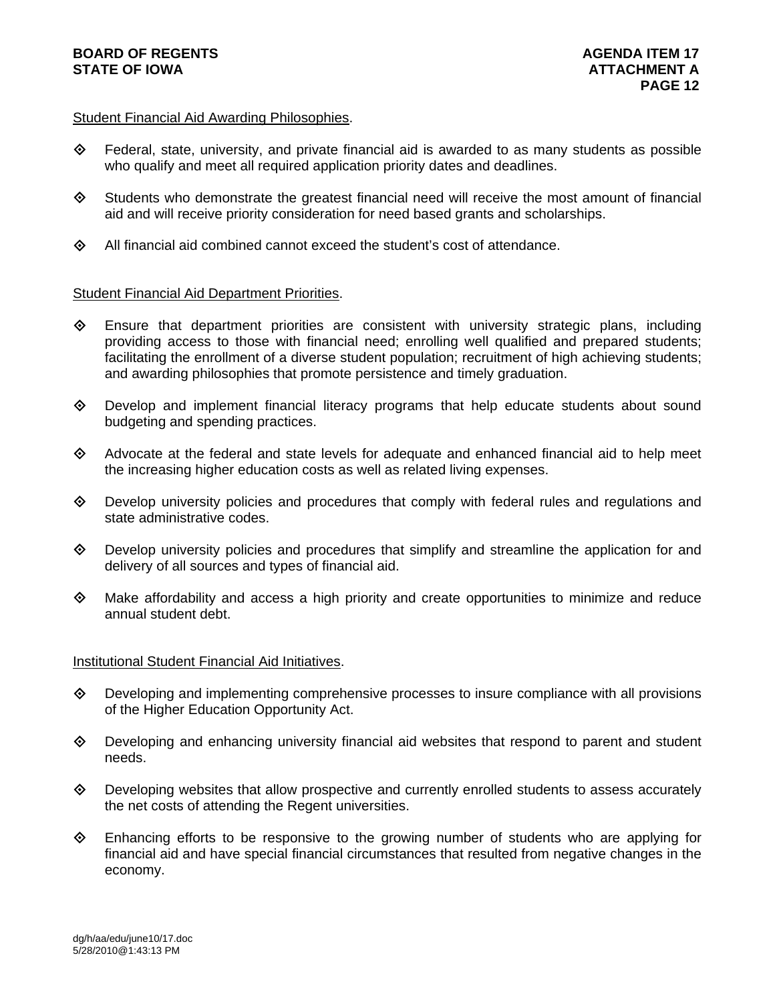## Student Financial Aid Awarding Philosophies.

- $\Diamond$  Federal, state, university, and private financial aid is awarded to as many students as possible who qualify and meet all required application priority dates and deadlines.
- $\diamond$  Students who demonstrate the greatest financial need will receive the most amount of financial aid and will receive priority consideration for need based grants and scholarships.
- $\Diamond$  All financial aid combined cannot exceed the student's cost of attendance.

# Student Financial Aid Department Priorities.

- $\diamondsuit$  Ensure that department priorities are consistent with university strategic plans, including providing access to those with financial need; enrolling well qualified and prepared students; facilitating the enrollment of a diverse student population; recruitment of high achieving students; and awarding philosophies that promote persistence and timely graduation.
- $\diamondsuit$  Develop and implement financial literacy programs that help educate students about sound budgeting and spending practices.
- $\diamond$  Advocate at the federal and state levels for adequate and enhanced financial aid to help meet the increasing higher education costs as well as related living expenses.
- $\Diamond$  Develop university policies and procedures that comply with federal rules and regulations and state administrative codes.
- Develop university policies and procedures that simplify and streamline the application for and delivery of all sources and types of financial aid.
- $\Leftrightarrow$  Make affordability and access a high priority and create opportunities to minimize and reduce annual student debt.

#### Institutional Student Financial Aid Initiatives.

- $\Diamond$  Developing and implementing comprehensive processes to insure compliance with all provisions of the Higher Education Opportunity Act.
- $\Diamond$  Developing and enhancing university financial aid websites that respond to parent and student needs.
- $\Diamond$  Developing websites that allow prospective and currently enrolled students to assess accurately the net costs of attending the Regent universities.
- $\diamond$  Enhancing efforts to be responsive to the growing number of students who are applying for financial aid and have special financial circumstances that resulted from negative changes in the economy.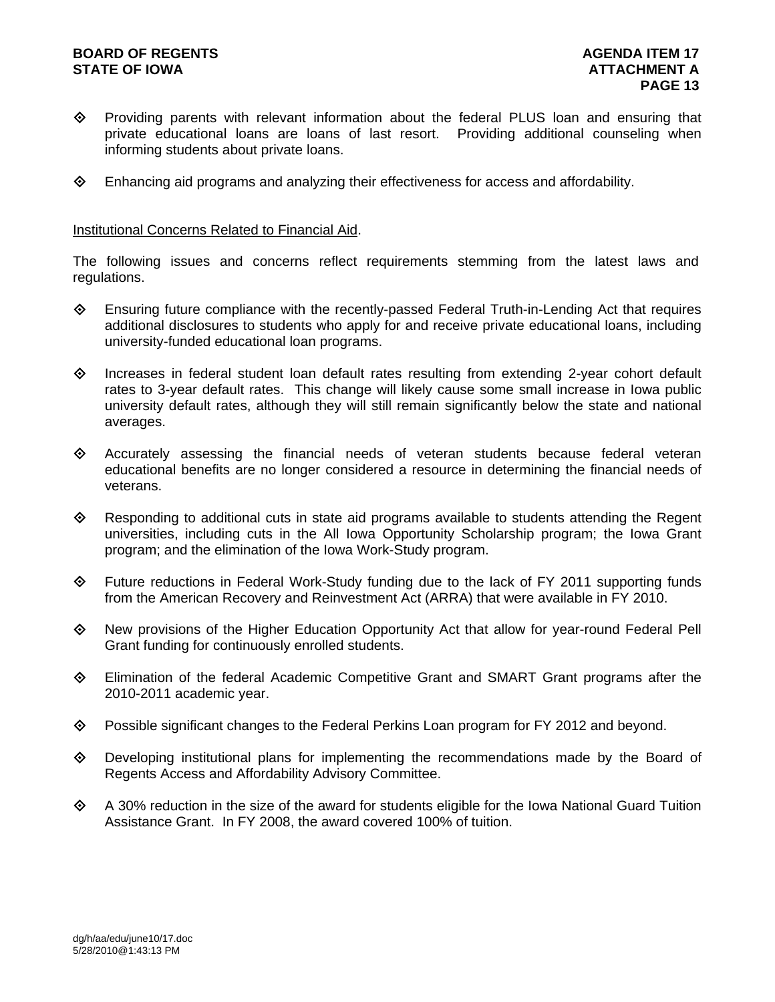# **BOARD OF REGENTS AGENER AGENERAL LIMIT CONTROL STATE OF IOWA AND RESIDENT A LOCAL CONSUMING A LOCAL CONSUMING A LOCAL CONSUMING A LOCAL CONSUMING A LOCAL CONSUMING A LOCAL CONSUMING A LOCAL CONSUMING A LOCAL CONSUMING A LOCAL CONSUMING A LOCAL CONSUMING A LOCAL CONSUM**

- Providing parents with relevant information about the federal PLUS loan and ensuring that private educational loans are loans of last resort. Providing additional counseling when informing students about private loans.
- $\diamond$  Enhancing aid programs and analyzing their effectiveness for access and affordability.

#### Institutional Concerns Related to Financial Aid.

The following issues and concerns reflect requirements stemming from the latest laws and regulations.

- $\Diamond$  Ensuring future compliance with the recently-passed Federal Truth-in-Lending Act that requires additional disclosures to students who apply for and receive private educational loans, including university-funded educational loan programs.
- $\Diamond$  Increases in federal student loan default rates resulting from extending 2-year cohort default rates to 3-year default rates. This change will likely cause some small increase in Iowa public university default rates, although they will still remain significantly below the state and national averages.
- $\diamond$  Accurately assessing the financial needs of veteran students because federal veteran educational benefits are no longer considered a resource in determining the financial needs of veterans.
- $\Leftrightarrow$  Responding to additional cuts in state aid programs available to students attending the Regent universities, including cuts in the All Iowa Opportunity Scholarship program; the Iowa Grant program; and the elimination of the Iowa Work-Study program.
- $\Diamond$  Future reductions in Federal Work-Study funding due to the lack of FY 2011 supporting funds from the American Recovery and Reinvestment Act (ARRA) that were available in FY 2010.
- New provisions of the Higher Education Opportunity Act that allow for year-round Federal Pell Grant funding for continuously enrolled students.
- Elimination of the federal Academic Competitive Grant and SMART Grant programs after the 2010-2011 academic year.
- $\Diamond$  Possible significant changes to the Federal Perkins Loan program for FY 2012 and beyond.
- $\diamond$  Developing institutional plans for implementing the recommendations made by the Board of Regents Access and Affordability Advisory Committee.
- $\diamond$  A 30% reduction in the size of the award for students eligible for the Iowa National Guard Tuition Assistance Grant. In FY 2008, the award covered 100% of tuition.